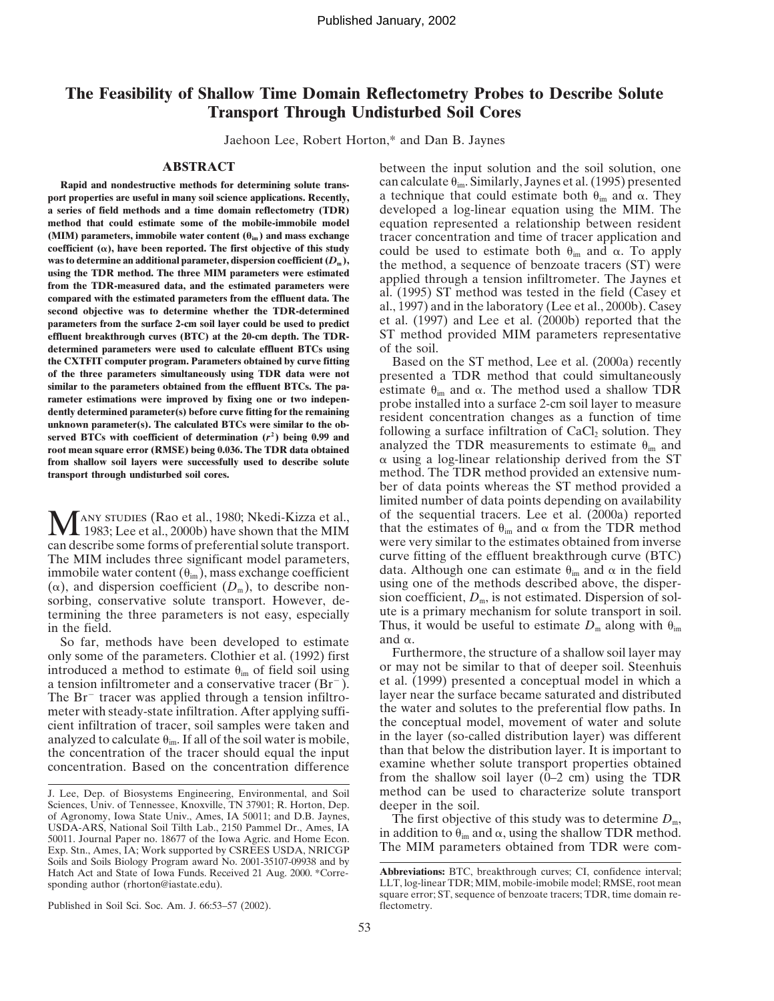# **The Feasibility of Shallow Time Domain Reflectometry Probes to Describe Solute Transport Through Undisturbed Soil Cores**

Jaehoon Lee, Robert Horton,\* and Dan B. Jaynes

port properties are useful in many soil science applications. Recently, **a series of field methods and a time domain reflectometry (TDR)** developed a log-linear equation using the MIM. The **method that could estimate some of the mobile-immobile model** equation represented a relationship between resident (MIM) parameters, immobile water content ( $\theta_{\text{im}}$ ) and mass exchange tracer concentration and time of t coefficient  $(\alpha)$ , have been reported. The first objective of this study **coefficient** ( $\alpha$ ), have been reported. The first objective of this study could be used to estimate both  $\theta_{\text{im}}$  and  $\alpha$ . To apply was to determine an additional parameter, dispersion coefficient ( $D_m$ ), the method coefficient ( $\alpha$ ), have been reported. The first objective of this study<br>was to determine an additional parameter, dispersion coefficient ( $D_m$ ),<br>using the TDR method. The three MIM parameters were estimated<br>from the TDR **parameters from the surface 2-cm soil layer could be used to predict** al., 1997) and in the laboratory (Lee et al., 2000b). Casey parameters from the surface 2-cm soil layer could be used to predict et al. (1997) and Lee **effluent breakthrough curves (BTC) at the 20-cm depth. The TDR-** ST method provided MIM parameters representative **determined parameters were used to calculate effluent BTCs using of the soil.**<br> **the CXTFIT computer program. Parameters obtained by curve fitting Based or the CXTFIT computer program. Parameters obtained by curve fitting** Based on the ST method, Lee et al. (2000a) recently of the three parameters simultaneously using TDR data were not presented a TDR method that could simul similar to the parameters obtained from the effluent BTCs. The pa-<br>rameter estimate  $\theta_{\text{im}}$  and  $\alpha$ . The method used a shallow TDR<br>probe installed into a surface 2-cm soil layer to measure dently determined parameter(s) before curve fitting for the remaining<br>unknown parameter(s). The calculated BTCs were similar to the ob-<br>served BTCs with coefficient of determination (r<sup>2</sup>) being 0.99 and<br>root mean square from shallow soil layers were successfully used to describe solute **transport through undisturbed soil cores.** method. The TDR method provided an extensive num-

1983; Lee et al., 2000b) have shown that the MIM The MIM includes three significant model parameters, curve fitting of the effluent breakthrough curve (BTC) immobile water content ( $\theta_{\rm in}$ ), mass exchange coefficient data. Although one can estimate  $\theta_{\rm in}$  and  $\alpha$  immobile water content  $(\theta_{\text{im}})$ , mass exchange coefficient ( $\alpha$ ), and dispersion coefficient  $(D_m)$ , to describe non- using one of the methods described above, the dispersorbing, conservative solute transport. However, de-<br>termining the three parameters is not easy, especially<br>in the field.<br>Thus, it would be useful to estimate  $D_m$  along with  $\theta_{im}$ .

So far, methods have been developed to estimate

Published in Soil Sci. Soc. Am. J. 66:53–57 (2002). flectometry.

**ABSTRACT** between the input solution and the soil solution, one **Rapid and nondestructive methods for determining solute trans-** can calculate  $\theta_{\rm im}$ . Similarly, Jaynes et al. (1995) presented a technique that could estimate both  $\theta_{\rm im}$  and  $\alpha$ . They **(MIM) parameters, immobile water content (im ) and mass exchange** tracer concentration and time of tracer application and

presented a TDR method that could simultaneously estimate  $\theta_{\text{im}}$  and  $\alpha$ . The method used a shallow TDR  $\alpha$  using a log-linear relationship derived from the ST ber of data points whereas the ST method provided a limited number of data points depending on availability **MANY STUDIES** (Rao et al., 1980; Nkedi-Kizza et al., of the sequential tracers. Lee et al. (2000a) reported that the estimates of  $\theta_{\text{im}}$  and  $\alpha$  from the TDR method can describe some forms of preferential solute tra that the estimates of  $\theta_{\text{im}}$  and  $\alpha$  from the TDR method were very similar to the estimates obtained from inverse Thus, it would be useful to estimate  $D_m$  along with  $\theta_{im}$ and  $\alpha$ .

only some of the parameters. Clothier et al. (1992) first Furthermore, the structure of a shallow soil layer may<br>introduced a method to estimate  $\theta$  of field soil using or may not be similar to that of deeper soil. Steenh introduced a method to estimate  $\theta_{\text{im}}$  of field soil using or may not be similar to that of deeper soil. Steenhuis a tension infiltrometer and a conservative tracer (Br<sup>-</sup>). et al. (1999) presented a conceptual model The Br<sup>-</sup> tracer was applied through a tension infiltro-<br>meter with steady-state infiltration. After applying suffi-<br>the water and solutes to the preferential flow paths. In meter with steady-state infiltration. After applying suffi-<br>cient infiltration of tracer soil samples were taken and the conceptual model, movement of water and solute cient infiltration of tracer, soil samples were taken and<br>analyzed to calculate  $\theta_{im}$ . If all of the soil water is mobile,<br>in the layer (so-called distribution layer) was different the concentration of the tracer should equal the input than that below the distribution layer. It is important to concentration. Based on the concentration difference examine whether solute transport properties obtained from the shallow soil layer (0–2 cm) using the TDR J. Lee, Dep. of Biosystems Engineering, Environmental, and Soil method can be used to characterize solute transport

Sciences, Univ. of Tennessee, Knoxville, TN 37901; R. Horton, Dep. deeper in the soil.<br>of Agronomy, Iowa State Univ., Ames, IA 50011; and D.B. Jaynes, The first objective of this study was to determine  $D_m$ ,<br>USDA-ARS, Nat 50011. Journal Paper no. 18677 of the Iowa Agric. and Home Econ.<br>
Exp. Stn., Ames, IA; Work supported by CSREES USDA, NRICGP The MIM parameters obtained from TDR were com-Soils and Soils Biology Program award No. 2001-35107-09938 and by Hatch Act and State of Iowa Funds. Received 21 Aug. 2000. \*Corre-<br>sponding author (rhorton@iastate.edu). LLT, log-linear TDR; MIM, mobile-imobile model; RMSE, root mean

LLT, log-linear TDR; MIM, mobile-imobile model; RMSE, root mean square error; ST, sequence of benzoate tracers; TDR, time domain re-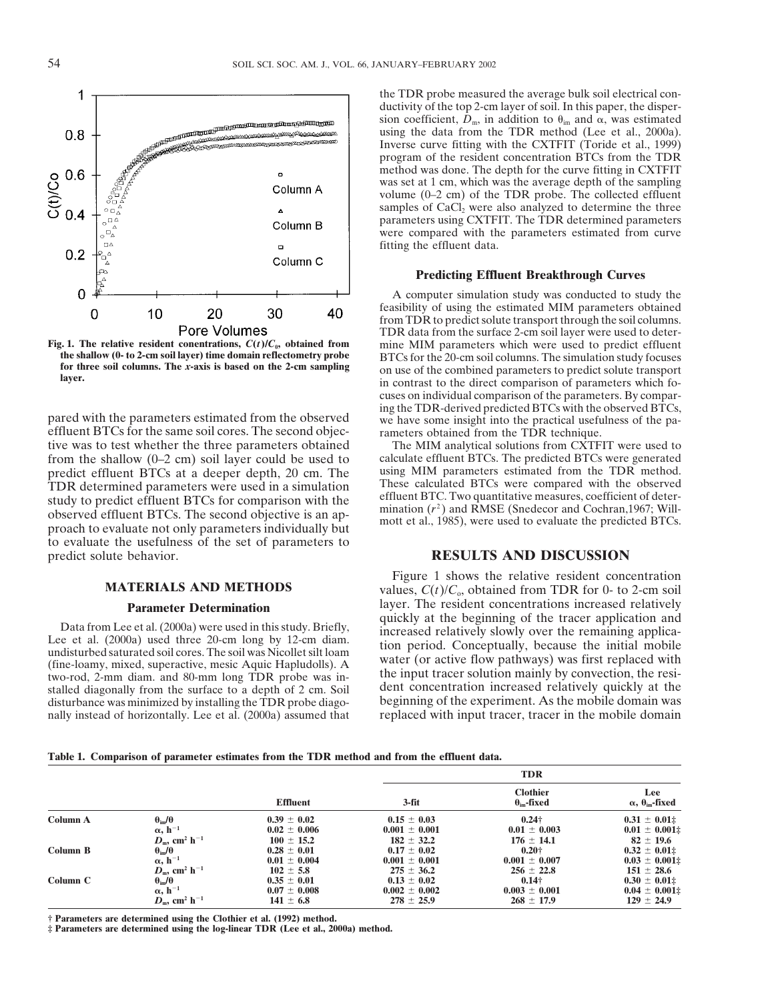

tive was to test whether the three parameters obtained The MIM analytical solutions from CXTFIT were used to from the shallow (0–2 cm) soil layer could be used to calculate effluent BTCs. The predicted BTCs were generated predict effluent BTCs at a deeper depth 20 cm. The using MIM parameters estimated from the TDR method. predict effluent BTCs at a deeper depth, 20 cm. The using MIM parameters estimated from the TDR method.<br>TDR determined parameters were used in a simulation These calculated BTCs were compared with the observed TDR determined parameters were used in a simulation These calculated BTCs were compared with the observed study to predict effluent BTCs for comparison with the effluent BTC. Two quantitative measures, coefficient of deter observed effluent BTCs. The second objective is an approach to evaluate not only parameters individually but<br>proach to evaluate not only parameters individually but<br>mott et al., 1985), were used to evaluate the predicted to evaluate the usefulness of the set of parameters to predict solute behavior. **RESULTS AND DISCUSSION**

two-rod, 2-mm diam. and 80-mm long TDR probe was in-<br>stalled diagonally from the surface to a depth of 2 cm. Soil dent concentration increased relatively quickly at the disturbance was minimized by installing the TDR probe diago- beginning of the experiment. As the mobile domain was

the TDR probe measured the average bulk soil electrical conductivity of the top 2-cm layer of soil. In this paper, the dispersion coefficient,  $D_m$ , in addition to  $\theta_{im}$  and  $\alpha$ , was estimated using the data from the TDR method (Lee et al., 2000a). Inverse curve fitting with the CXTFIT (Toride et al., 1999) program of the resident concentration BTCs from the TDR method was done. The depth for the curve fitting in CXTFIT was set at 1 cm, which was the average depth of the sampling volume (0–2 cm) of the TDR probe. The collected effluent samples of  $CaCl<sub>2</sub>$  were also analyzed to determine the three parameters using CXTFIT. The TDR determined parameters were compared with the parameters estimated from curve fitting the effluent data.

### **Predicting Effluent Breakthrough Curves**

A computer simulation study was conducted to study the feasibility of using the estimated MIM parameters obtained from TDR to predict solute transport through the soil columns. TDR data from the surface 2-cm soil layer were used to deter-**Fig. 1. The relative resident conentrations,**  $C(t)/C_0$ **, obtained from** mine MIM parameters which were used to predict effluent the shallow (0- to 2-cm soil layer) time domain reflectometry probe  $BTCs$  for the 20-cm soil c the shallow (0- to 2-cm soil layer) time domain reflectometry probe<br>for the 20-cm soil columns. The simulation study focuses<br>for three soil columns. The x-axis is based on the 2-cm sampling<br>layer.<br>in contrast to the direct cuses on individual comparison of the parameters. By comparing the TDR-derived predicted BTCs with the observed BTCs, pared with the parameters estimated from the observed<br>effluent BTCs for the same soil cores. The second objec-<br>rameters obtained from the TDR technique.

**MATERIALS AND METHODS** Figure 1 shows the relative resident concentration values,  $C(t)/C_0$ , obtained from TDR for 0- to 2-cm soil **Parameter Determination** layer. The resident concentrations increased relatively quickly at the beginning of the tracer application and Data from Lee et al. (2000a) were used in this study. Briefly,<br>Lee et al. (2000a) used three 20-cm long by 12-cm diam.<br>undisturbed saturated soil cores. The soil was Nicollet silt loam<br>(fine-loamy, mixed, superactive, mesi nally instead of horizontally. Lee et al. (2000a) assumed that replaced with input tracer, tracer in the mobile domain

|  | Table 1. Comparison of parameter estimates from the TDR method and from the effluent data. |  |  |  |  |  |  |  |  |  |  |  |  |
|--|--------------------------------------------------------------------------------------------|--|--|--|--|--|--|--|--|--|--|--|--|
|--|--------------------------------------------------------------------------------------------|--|--|--|--|--|--|--|--|--|--|--|--|

|          |                                               |                  | <b>TDR</b>        |                                             |                                            |  |  |  |
|----------|-----------------------------------------------|------------------|-------------------|---------------------------------------------|--------------------------------------------|--|--|--|
|          |                                               | <b>Effluent</b>  | $3-fit$           | <b>Clothier</b><br>$\theta_{\rm im}$ -fixed | Lee<br>$\alpha$ , $\theta_{\rm im}$ -fixed |  |  |  |
| Column A | $\theta_{\rm im}/\theta$                      | $0.39 \pm 0.02$  | $0.15 \pm 0.03$   | $0.24\dagger$                               | $0.31 \pm 0.01$ #                          |  |  |  |
|          | $\alpha$ , h <sup>-1</sup>                    | $0.02 \pm 0.006$ | $0.001 \pm 0.001$ | $0.01 \pm 0.003$                            | $0.01 \pm 0.001$                           |  |  |  |
| Column B | $D_{\rm m}$ , cm <sup>2</sup> h <sup>-1</sup> | $100 \pm 15.2$   | $182 \pm 32.2$    | $176 \pm 14.1$                              | $82 \pm 19.6$                              |  |  |  |
|          | $\theta_{\rm im}/\theta$                      | $0.28 \pm 0.01$  | $0.17 \pm 0.02$   | $0.20 +$                                    | $0.32 \pm 0.01$                            |  |  |  |
|          | $\alpha$ , $h^{-1}$                           | $0.01 \pm 0.004$ | $0.001 \pm 0.001$ | $0.001 \pm 0.007$                           | $0.03 \pm 0.001$                           |  |  |  |
| Column C | $D_m$ , cm <sup>2</sup> h <sup>-1</sup>       | $102 \pm 5.8$    | $275 \pm 36.2$    | $256 \pm 22.8$                              | $151 \pm 28.6$                             |  |  |  |
|          | $\theta_{\rm im}/\theta$                      | $0.35 \pm 0.01$  | $0.13 \pm 0.02$   | $0.14\dagger$                               | $0.30 \pm 0.01$                            |  |  |  |
|          | $\alpha$ , h <sup>-1</sup>                    | $0.07 \pm 0.008$ | $0.002 \pm 0.002$ | $0.003 \pm 0.001$                           | $0.04 \pm 0.001$                           |  |  |  |
|          | $D_m$ , cm <sup>2</sup> h <sup>-1</sup>       | $141 \pm 6.8$    | $278 \pm 25.9$    | $268 \pm 17.9$                              | $129 \pm 24.9$                             |  |  |  |

**† Parameters are determined using the Clothier et al. (1992) method.**

**‡ Parameters are determined using the log-linear TDR (Lee et al., 2000a) method.**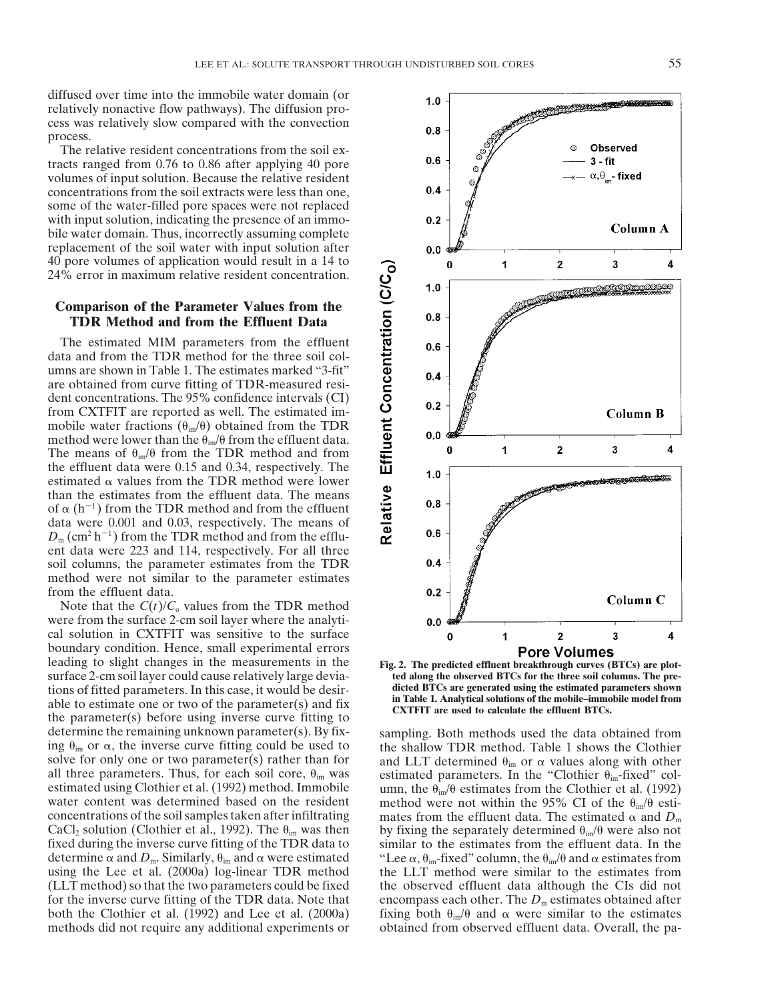diffused over time into the immobile water domain (or relatively nonactive flow pathways). The diffusion process was relatively slow compared with the convection process.

The relative resident concentrations from the soil extracts ranged from 0.76 to 0.86 after applying 40 pore volumes of input solution. Because the relative resident concentrations from the soil extracts were less than one, some of the water-filled pore spaces were not replaced with input solution, indicating the presence of an immobile water domain. Thus, incorrectly assuming complete replacement of the soil water with input solution after 40 pore volumes of application would result in a 14 to 24% error in maximum relative resident concentration.

## **Comparison of the Parameter Values from the TDR Method and from the Effluent Data**

The estimated MIM parameters from the effluent data and from the TDR method for the three soil columns are shown in Table 1. The estimates marked "3-fit" are obtained from curve fitting of TDR-measured resident concentrations. The 95% confidence intervals (CI) from CXTFIT are reported as well. The estimated immobile water fractions  $(\theta_{im}/\theta)$  obtained from the TDR method were lower than the  $\theta_{\rm im}/\theta$  from the effluent data. The means of  $\theta_{\rm im}/\theta$  from the TDR method and from the effluent data were 0.15 and 0.34, respectively. The estimated  $\alpha$  values from the TDR method were lower than the estimates from the effluent data. The means of  $\alpha$  (h<sup>-1</sup>) from the TDR method and from the effluent data were 0.001 and 0.03, respectively. The means of  $D_m$  (cm<sup>2</sup> h<sup>-1</sup>) from the TDR method and from the effluent data were 223 and 114, respectively. For all three soil columns, the parameter estimates from the TDR method were not similar to the parameter estimates from the effluent data.

Note that the  $C(t)/C_0$  values from the TDR method were from the surface 2-cm soil layer where the analytical solution in CXTFIT was sensitive to the surface boundary condition. Hence, small experimental errors boundary condition. Hence, small experimental errors<br>leading to slight changes in the measurements in the **Fig. 2.** The predicted effluent breakthrough curves (BTCs) are plotsurface 2-cm soil layer could cause relatively large devia-<br> **the along the observed BTCs for the three soil columns. The pre-**<br> **dicted BTCs are generated using the estimated parameters shown** tions of fitted parameters. In this case, it would be desir-<br> **dicted BTCs are generated using the estimated parameters shown**<br> **in Table 1. Analytical solutions of the mobile-immobile model from** able to estimate one or two of the parameter(s) and fix<br>the parameter(s) before using inverse curve fitting to<br>the parameter(s) before using inverse curve fitting to determine the remaining unknown parameter(s). By fix- sampling. Both methods used the data obtained from ing  $\theta_{\rm im}$  or  $\alpha$ , the inverse curve fitting could be used to all three parameters. Thus, for each soil core,  $\theta_{im}$  was estimated using Clothier et al. (1992) method. Immobile concentrations of the soil samples taken after infiltrating. determine  $\alpha$  and  $D_m$ . Similarly,  $\theta_{im}$  and  $\alpha$  were estimated "Lee  $\alpha$ " both the Clothier et al. (1992) and Lee et al. (2000a) methods did not require any additional experiments or

the shallow TDR method. Table 1 shows the Clothier solve for only one or two parameter(s) rather than for and LLT determined  $\theta_{im}$  or  $\alpha$  values along with other all three parameters. Thus, for each soil core,  $\theta_{im}$  was a setimated parameters. In the "Clothier  $\theta_{im}$ and LLT determined  $\theta_{im}$  or  $\alpha$  values along with other estimated using Clothier et al. (1992) method. Immobile umn, the  $\theta_{\rm im}/\theta$  estimates from the Clothier et al. (1992) water content was determined based on the resident method were not within the 95% CI of the  $\theta_{\rm in}/\theta$ method were not within the 95% CI of the  $\theta_{\rm im}/\theta$  estimates from the effluent data. The estimated  $\alpha$  and  $D_m$ CaCl<sub>2</sub> solution (Clothier et al., 1992). The  $\theta_{im}$  was then by fixing the separately determined  $\theta_{im}/\theta$  were also not fixed during the inverse curve fitting of the TDR data to similar to the estimates from the efflue similar to the estimates from the effluent data. In the ,  $\theta_{\rm im}$ -fixed" column, the  $\theta_{\rm im}/\theta$  and  $\alpha$  estimates from using the Lee et al. (2000a) log-linear TDR method the LLT method were similar to the estimates from (LLT method) so that the two parameters could be fixed the observed effluent data although the CIs did not for the inverse curve fitting of the TDR data. Note that encompass each other. The  $D<sub>m</sub>$  estimates obtained after fixing both  $\theta_{\rm im}/\theta$  and  $\alpha$  were similar to the estimates obtained from observed effluent data. Overall, the pa-

3 O 1  $\overline{2}$  $\overline{\mathbf{A}}$ Effluent Concentration (C/C<sub>o</sub>)  $1.0$  $0.8$  $0.6$  $0.4$  $0.2$ **Column B**  $0.0$  $\mathbf 1$  $\mathbf{2}$ 3 4  $\bf{0}$  $1.0$ Relative  $0.8$  $0.6$  $0.4$  $0.2$ Column C  $0.0$  $\bf{0}$  $\mathbf{2}$ 3 4 1

 $1.0$ 

 $0.8$ 

 $0.6$ 

 $0.4$ 

 $0.2$ 

 $0.0$ 

Ó

Observed

Column A

 $3 - fit$  $- \alpha, \theta_{\text{im}}$ - fixed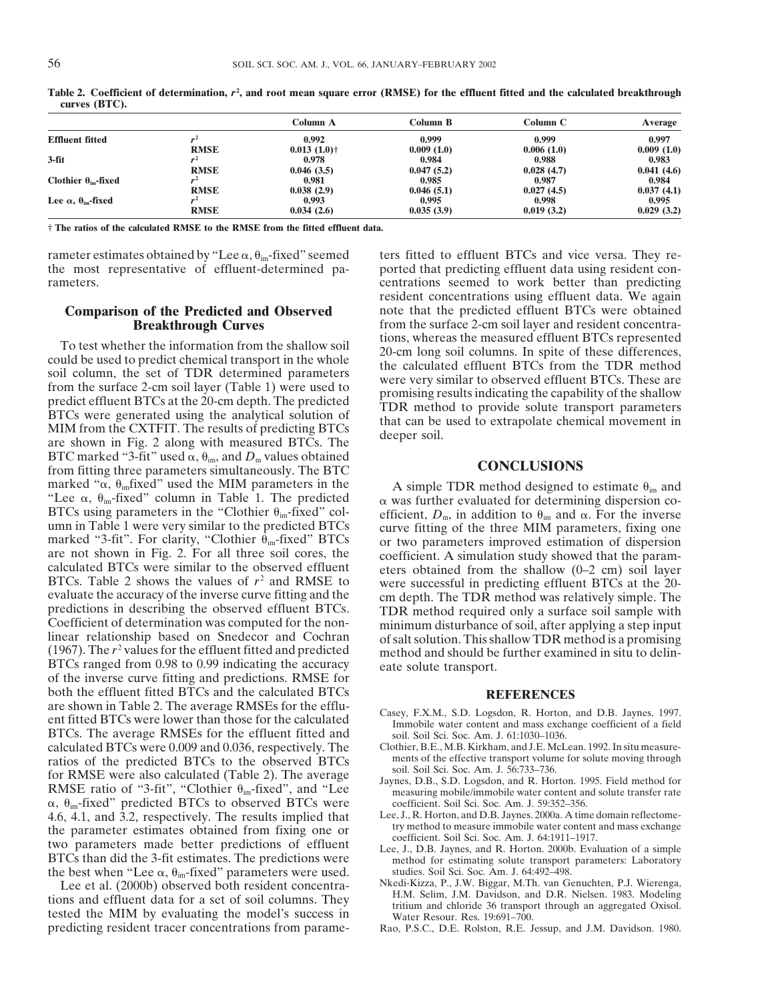|                                            |             | Column A       | Column B   | Column C   | Average    |
|--------------------------------------------|-------------|----------------|------------|------------|------------|
| <b>Effluent fitted</b>                     |             | 0.992          | 0.999      | 0.999      | 0.997      |
|                                            | <b>RMSE</b> | $0.013(1.0)$ † | 0.009(1.0) | 0.006(1.0) | 0.009(1.0) |
| $3-fit$                                    |             | 0.978          | 0.984      | 0.988      | 0.983      |
|                                            | <b>RMSE</b> | 0.046(3.5)     | 0.047(5.2) | 0.028(4.7) | 0.041(4.6) |
| Clothier $\theta_{\rm im}$ -fixed          |             | 0.981          | 0.985      | 0.987      | 0.984      |
|                                            | <b>RMSE</b> | 0.038(2.9)     | 0.046(5.1) | 0.027(4.5) | 0.037(4.1) |
| Lee $\alpha$ , $\theta_{\text{im}}$ -fixed |             | 0.993          | 0.995      | 0.998      | 0.995      |
|                                            | <b>RMSE</b> | 0.034(2.6)     | 0.035(3.9) | 0.019(3.2) | 0.029(3.2) |

Table 2. Coefficient of determination, r<sup>2</sup>, and root mean square error (RMSE) for the effluent fitted and the calculated breakthrough **curves (BTC).**

**† The ratios of the calculated RMSE to the RMSE from the fitted effluent data.**

rameter estimates obtained by "Lee  $\alpha$ ,  $\theta_{im}$ -fixed" seemed

To test whether the information from the shallow soil<br>could be used to predict chemical transport in the whole<br>soil column, the set of TDR determined parameters<br>from the surface 2-cm soil layer (Table 1) were used to<br>predi BTC marked "3-fit" used  $\alpha$ ,  $\theta_{\text{im}}$ , and  $D_{\text{m}}$  values obtained from fitting three parameters simultaneously. The BTC **CONCLUSIONS** marked " $\alpha$ ,  $\theta_{\text{im}}$  fixed" used the MIM parameters in the "Lee  $\alpha$ ,  $\theta_{\text{im}}$ -fixed" column in Table 1. The predicted  $\alpha$ BTCs using parameters in the "Clothier  $\theta_{\text{im}}$ -fixed" col- umn in Table 1 were very similar to the predicted BTCs umn in Table 1 were very similar to the predicted BTCs<br>marked "3-fit". For clarity, "Clothier  $\theta_{\text{im}}$ -fixed" BTCs<br>are not shown in Fig. 2. For all three soil cores, the<br>coefficient. A simulation study showed that the p BTCs ranged from 0.98 to 0.99 indicating the accuracy eate solute transport. of the inverse curve fitting and predictions. RMSE for both the effluent fitted BTCs and the calculated BTCs<br>are shown in Table 2. The average RMSEs for the efflu-<br> $\begin{bmatrix} R & R \end{bmatrix}$ enter and Harbor Casey, F.X.M., S.D. Logsdon, R. Horton, and D.B. Jaynes. 1997.<br>
ent fitted BTCs were lower than those for the calculated<br>
BTCs. The average RMSEs for the effluent fitted and<br>
soil. Soil Sci. Soc. Am. J. 61 BTCs. The average RMSEs for the effluent fitted and calculated BTCs were 0.009 and 0.036, respectively. The Clothier, B.E., M.B. Kirkham, and J.E. McLean. 1992. In situ measure-<br>ratios of the predicted BTCs to the observed BTCs ments of the effective transport volume for so ratios of the predicted BTCs to the observed BTCs ments of the effective transport volume for solute moving through<br>for RMSE were also calculated (Table 2). The average soil. Soil Sci. Soc. Am. J. 56:733–736.<br>RMSE ratio o  $\alpha$ ,  $\theta_{\text{im}}$ -fixed" predicted BTCs to observed BTCs were coefficient. Soil Sci. Soc. Am. J. 59:352-356. 4.6, 4.1, and 3.2, respectively. The results implied that Lee, J., R. Horton, and D.B. Jaynes. 2000a. A time domain reflectome-<br>the parameter estimates obtained from fixing one or typerathed to measure immobile water conte the parameter estimates obtained from fixing one or<br>two parameters made better predictions of effluent<br>BTCs than did the 3-fit estimates. The predictions were<br>the best when "Lee  $\alpha$ ,  $\theta_{\text{im}}$ -fixed" parameters were use the best when "Lee  $\alpha$ ,  $\theta_{\text{im}}$ -fixed" parameters were used. studies. Soil Sci. Soc. Am. J. 64:492-498.

tions and effluent data for a set of soil columns. They<br>tested the MIM by evaluating the model's success in<br>predicting resident tracer concentrations from parame-<br>Rao, P.S.C., D.E. Rolston, R.E. Jessup, and J.M. Davidson.

rameter estimates obtained by "Lee  $\alpha$ ,  $\theta_{im}$ -fixed" seemed ters fitted to effluent BTCs and vice versa. They re-<br>the most representative of effluent-determined pa-<br>ported that predicting effluent data using resident c ported that predicting effluent data using resident conrameters. centrations seemed to work better than predicting resident concentrations using effluent data. We again **Comparison of the Predicted and Observed** note that the predicted effluent BTCs were obtained **Breakthrough Curves** from the surface 2-cm soil layer and resident concentra-<br>tions, whereas the measured effluent BTCs represented

A simple TDR method designed to estimate  $\theta_{im}$  and  $\alpha$  was further evaluated for determining dispersion coefficient,  $D_m$ , in addition to  $\theta_{im}$  and  $\alpha$ . For the inverse

- 
- 
- 
- 
- 
- Lee et al. (2000b) observed both resident concentra- Nkedi-Kizza, P., J.W. Biggar, M.Th. van Genuchten, P.J. Wierenga,
	- Rao, P.S.C., D.E. Rolston, R.E. Jessup, and J.M. Davidson. 1980.